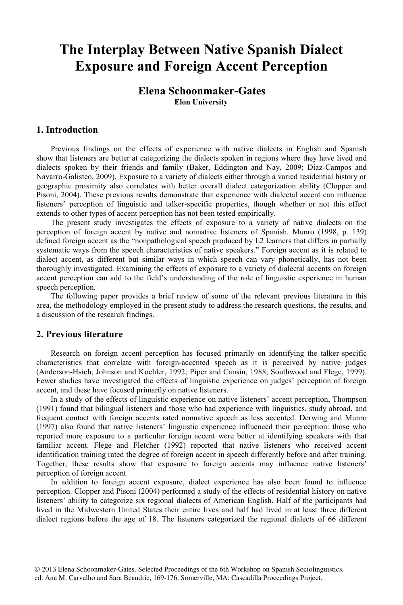# **The Interplay Between Native Spanish Dialect Exposure and Foreign Accent Perception**

# **Elena Schoonmaker-Gates Elon University**

## **1. Introduction**

Previous findings on the effects of experience with native dialects in English and Spanish show that listeners are better at categorizing the dialects spoken in regions where they have lived and dialects spoken by their friends and family (Baker, Eddington and Nay, 2009; Díaz-Campos and Navarro-Galisteo, 2009). Exposure to a variety of dialects either through a varied residential history or geographic proximity also correlates with better overall dialect categorization ability (Clopper and Pisoni, 2004). These previous results demonstrate that experience with dialectal accent can influence listeners' perception of linguistic and talker-specific properties, though whether or not this effect extends to other types of accent perception has not been tested empirically.

The present study investigates the effects of exposure to a variety of native dialects on the perception of foreign accent by native and nonnative listeners of Spanish. Munro (1998, p. 139) defined foreign accent as the "nonpathological speech produced by L2 learners that differs in partially systematic ways from the speech characteristics of native speakers." Foreign accent as it is related to dialect accent, as different but similar ways in which speech can vary phonetically, has not been thoroughly investigated. Examining the effects of exposure to a variety of dialectal accents on foreign accent perception can add to the field's understanding of the role of linguistic experience in human speech perception.

The following paper provides a brief review of some of the relevant previous literature in this area, the methodology employed in the present study to address the research questions, the results, and a discussion of the research findings.

#### **2. Previous literature**

Research on foreign accent perception has focused primarily on identifying the talker-specific characteristics that correlate with foreign-accented speech as it is perceived by native judges (Anderson-Hsieh, Johnson and Koehler, 1992; Piper and Cansin, 1988; Southwood and Flege, 1999). Fewer studies have investigated the effects of linguistic experience on judges' perception of foreign accent, and these have focused primarily on native listeners.

In a study of the effects of linguistic experience on native listeners' accent perception, Thompson (1991) found that bilingual listeners and those who had experience with linguistics, study abroad, and frequent contact with foreign accents rated nonnative speech as less accented. Derwing and Munro (1997) also found that native listeners' linguistic experience influenced their perception: those who reported more exposure to a particular foreign accent were better at identifying speakers with that familiar accent. Flege and Fletcher (1992) reported that native listeners who received accent identification training rated the degree of foreign accent in speech differently before and after training. Together, these results show that exposure to foreign accents may influence native listeners' perception of foreign accent.

In addition to foreign accent exposure, dialect experience has also been found to influence perception. Clopper and Pisoni (2004) performed a study of the effects of residential history on native listeners' ability to categorize six regional dialects of American English. Half of the participants had lived in the Midwestern United States their entire lives and half had lived in at least three different dialect regions before the age of 18. The listeners categorized the regional dialects of 66 different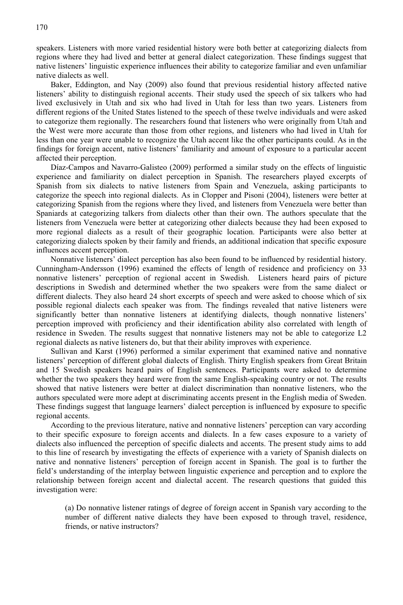speakers. Listeners with more varied residential history were both better at categorizing dialects from regions where they had lived and better at general dialect categorization. These findings suggest that native listeners' linguistic experience influences their ability to categorize familiar and even unfamiliar native dialects as well.

Baker, Eddington, and Nay (2009) also found that previous residential history affected native listeners' ability to distinguish regional accents. Their study used the speech of six talkers who had lived exclusively in Utah and six who had lived in Utah for less than two years. Listeners from different regions of the United States listened to the speech of these twelve individuals and were asked to categorize them regionally. The researchers found that listeners who were originally from Utah and the West were more accurate than those from other regions, and listeners who had lived in Utah for less than one year were unable to recognize the Utah accent like the other participants could. As in the findings for foreign accent, native listeners' familiarity and amount of exposure to a particular accent affected their perception.

Díaz-Campos and Navarro-Galisteo (2009) performed a similar study on the effects of linguistic experience and familiarity on dialect perception in Spanish. The researchers played excerpts of Spanish from six dialects to native listeners from Spain and Venezuela, asking participants to categorize the speech into regional dialects. As in Clopper and Pisoni (2004), listeners were better at categorizing Spanish from the regions where they lived, and listeners from Venezuela were better than Spaniards at categorizing talkers from dialects other than their own. The authors speculate that the listeners from Venezuela were better at categorizing other dialects because they had been exposed to more regional dialects as a result of their geographic location. Participants were also better at categorizing dialects spoken by their family and friends, an additional indication that specific exposure influences accent perception.

Nonnative listeners' dialect perception has also been found to be influenced by residential history. Cunningham-Andersson (1996) examined the effects of length of residence and proficiency on 33 nonnative listeners' perception of regional accent in Swedish. Listeners heard pairs of picture descriptions in Swedish and determined whether the two speakers were from the same dialect or different dialects. They also heard 24 short excerpts of speech and were asked to choose which of six possible regional dialects each speaker was from. The findings revealed that native listeners were significantly better than nonnative listeners at identifying dialects, though nonnative listeners' perception improved with proficiency and their identification ability also correlated with length of residence in Sweden. The results suggest that nonnative listeners may not be able to categorize L2 regional dialects as native listeners do, but that their ability improves with experience.

Sullivan and Karst (1996) performed a similar experiment that examined native and nonnative listeners' perception of different global dialects of English. Thirty English speakers from Great Britain and 15 Swedish speakers heard pairs of English sentences. Participants were asked to determine whether the two speakers they heard were from the same English-speaking country or not. The results showed that native listeners were better at dialect discrimination than nonnative listeners, who the authors speculated were more adept at discriminating accents present in the English media of Sweden. These findings suggest that language learners' dialect perception is influenced by exposure to specific regional accents.

According to the previous literature, native and nonnative listeners' perception can vary according to their specific exposure to foreign accents and dialects. In a few cases exposure to a variety of dialects also influenced the perception of specific dialects and accents. The present study aims to add to this line of research by investigating the effects of experience with a variety of Spanish dialects on native and nonnative listeners' perception of foreign accent in Spanish. The goal is to further the field's understanding of the interplay between linguistic experience and perception and to explore the relationship between foreign accent and dialectal accent. The research questions that guided this investigation were:

(a) Do nonnative listener ratings of degree of foreign accent in Spanish vary according to the number of different native dialects they have been exposed to through travel, residence, friends, or native instructors?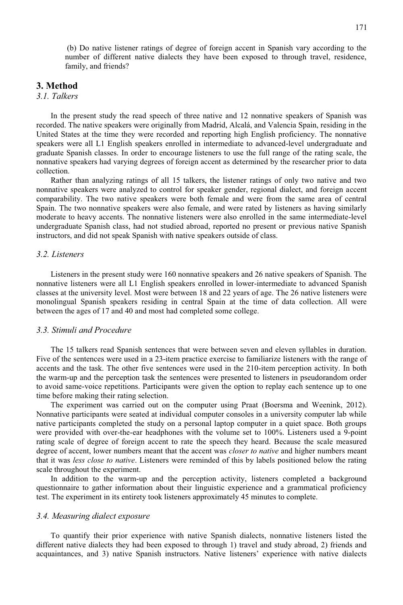(b) Do native listener ratings of degree of foreign accent in Spanish vary according to the number of different native dialects they have been exposed to through travel, residence, family, and friends?

#### **3. Method**

# *3.1. Talkers*

In the present study the read speech of three native and 12 nonnative speakers of Spanish was recorded. The native speakers were originally from Madrid, Alcalá, and Valencia Spain, residing in the United States at the time they were recorded and reporting high English proficiency. The nonnative speakers were all L1 English speakers enrolled in intermediate to advanced-level undergraduate and graduate Spanish classes. In order to encourage listeners to use the full range of the rating scale, the nonnative speakers had varying degrees of foreign accent as determined by the researcher prior to data collection.

Rather than analyzing ratings of all 15 talkers, the listener ratings of only two native and two nonnative speakers were analyzed to control for speaker gender, regional dialect, and foreign accent comparability. The two native speakers were both female and were from the same area of central Spain. The two nonnative speakers were also female, and were rated by listeners as having similarly moderate to heavy accents. The nonnative listeners were also enrolled in the same intermediate-level undergraduate Spanish class, had not studied abroad, reported no present or previous native Spanish instructors, and did not speak Spanish with native speakers outside of class.

#### *3.2. Listeners*

Listeners in the present study were 160 nonnative speakers and 26 native speakers of Spanish. The nonnative listeners were all L1 English speakers enrolled in lower-intermediate to advanced Spanish classes at the university level. Most were between 18 and 22 years of age. The 26 native listeners were monolingual Spanish speakers residing in central Spain at the time of data collection. All were between the ages of 17 and 40 and most had completed some college.

#### *3.3. Stimuli and Procedure*

The 15 talkers read Spanish sentences that were between seven and eleven syllables in duration. Five of the sentences were used in a 23-item practice exercise to familiarize listeners with the range of accents and the task. The other five sentences were used in the 210-item perception activity. In both the warm-up and the perception task the sentences were presented to listeners in pseudorandom order to avoid same-voice repetitions. Participants were given the option to replay each sentence up to one time before making their rating selection.

The experiment was carried out on the computer using Praat (Boersma and Weenink, 2012). Nonnative participants were seated at individual computer consoles in a university computer lab while native participants completed the study on a personal laptop computer in a quiet space. Both groups were provided with over-the-ear headphones with the volume set to 100%. Listeners used a 9-point rating scale of degree of foreign accent to rate the speech they heard. Because the scale measured degree of accent, lower numbers meant that the accent was *closer to native* and higher numbers meant that it was *less close to native*. Listeners were reminded of this by labels positioned below the rating scale throughout the experiment.

In addition to the warm-up and the perception activity, listeners completed a background questionnaire to gather information about their linguistic experience and a grammatical proficiency test. The experiment in its entirety took listeners approximately 45 minutes to complete.

#### *3.4. Measuring dialect exposure*

To quantify their prior experience with native Spanish dialects, nonnative listeners listed the different native dialects they had been exposed to through 1) travel and study abroad, 2) friends and acquaintances, and 3) native Spanish instructors. Native listeners' experience with native dialects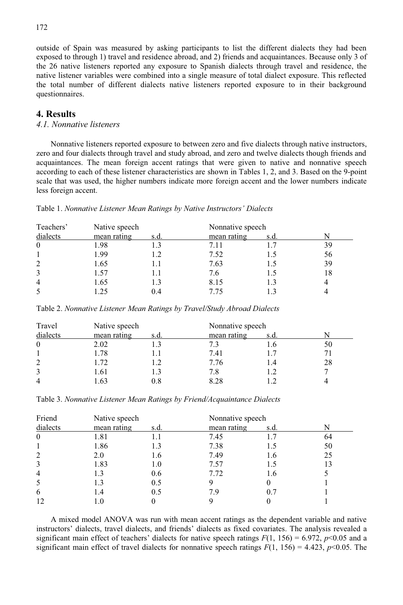outside of Spain was measured by asking participants to list the different dialects they had been exposed to through 1) travel and residence abroad, and 2) friends and acquaintances. Because only 3 of the 26 native listeners reported any exposure to Spanish dialects through travel and residence, the native listener variables were combined into a single measure of total dialect exposure. This reflected the total number of different dialects native listeners reported exposure to in their background questionnaires.

# **4. Results**

# *4.1. Nonnative listeners*

Nonnative listeners reported exposure to between zero and five dialects through native instructors, zero and four dialects through travel and study abroad, and zero and twelve dialects though friends and acquaintances. The mean foreign accent ratings that were given to native and nonnative speech according to each of these listener characteristics are shown in Tables 1, 2, and 3. Based on the 9-point scale that was used, the higher numbers indicate more foreign accent and the lower numbers indicate less foreign accent.

| Teachers'      | Native speech |      | Nonnative speech |      |    |
|----------------|---------------|------|------------------|------|----|
| dialects       | mean rating   | s.d. | mean rating      | s.d. |    |
| $\theta$       | 1.98          | 1.3  | 7.11             |      | 39 |
|                | 1.99          | 1.2  | 7.52             | 1.5  | 56 |
| $\overline{2}$ | 1.65          | 1.1  | 7.63             | 1.5  | 39 |
| 3              | 1.57          | 1.1  | 7.6              | 1.5  | 18 |
| $\overline{4}$ | 1.65          | 1.3  | 8.15             | 1.3  |    |
| 5              | .25           | 0.4  | 775              |      |    |

Table 1. *Nonnative Listener Mean Ratings by Native Instructors' Dialects*

Table 2. *Nonnative Listener Mean Ratings by Travel/Study Abroad Dialects*

| Travel         | Native speech |      | Nonnative speech |      |    |
|----------------|---------------|------|------------------|------|----|
| dialects       | mean rating   | s.d. | mean rating      | s.d. |    |
| $\theta$       | 2.02          |      |                  |      | 50 |
|                | 1.78          |      | 7.41             |      |    |
| $\overline{2}$ | l.72          | l.2  | 7.76             |      | 28 |
| 3              | 1.61          | 1.3  | 7.8              |      |    |
| $\overline{4}$ |               | 0.8  | 8.28             |      |    |

Table 3. *Nonnative Listener Mean Ratings by Friend/Acquaintance Dialects* 

| Friend         | Native speech |      | Nonnative speech |      |    |  |
|----------------|---------------|------|------------------|------|----|--|
| dialects       | mean rating   | s.d. | mean rating      | s.d. |    |  |
| $\theta$       | 1.81          |      | 7.45             |      | 64 |  |
|                | 1.86          | 1.3  | 7.38             | 1.5  | 50 |  |
| 2              | 2.0           | 1.6  | 7.49             | 1.6  | 25 |  |
| 3              | 1.83          | 1.0  | 7.57             | L.5  | 13 |  |
| $\overline{4}$ |               | 0.6  | 7.72             | 1.6  |    |  |
| 5              | 1.3           | 0.5  |                  |      |    |  |
| 6              |               | 0.5  | 7.9              | 0.7  |    |  |
|                |               |      |                  |      |    |  |

A mixed model ANOVA was run with mean accent ratings as the dependent variable and native instructors' dialects, travel dialects, and friends' dialects as fixed covariates. The analysis revealed a significant main effect of teachers' dialects for native speech ratings  $F(1, 156) = 6.972$ ,  $p<0.05$  and a significant main effect of travel dialects for nonnative speech ratings  $F(1, 156) = 4.423$ ,  $p<0.05$ . The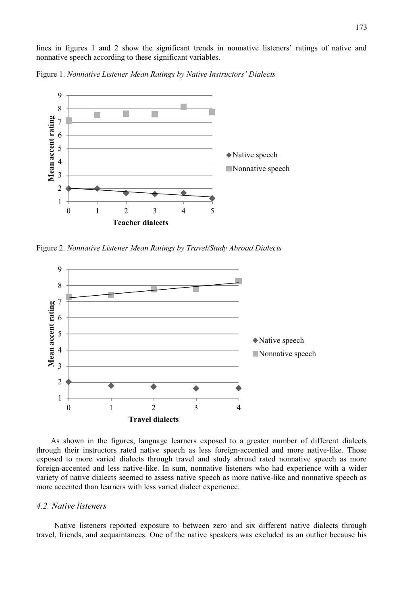lines in figures 1 and 2 show the significant trends in nonnative listeners' ratings of native and nonnative speech according to these significant variables.

Figure 1. *Nonnative Listener Mean Ratings by Native Instructors' Dialects*



Figure 2. *Nonnative Listener Mean Ratings by Travel/Study Abroad Dialects* 



As shown in the figures, language learners exposed to a greater number of different dialects through their instructors rated native speech as less foreign-accented and more native-like. Those exposed to more varied dialects through travel and study abroad rated nonnative speech as more foreign-accented and less native-like. In sum, nonnative listeners who had experience with a wider variety of native dialects seemed to assess native speech as more native-like and nonnative speech as more accented than learners with less varied dialect experience.

#### *4.2. Native listeners*

Native listeners reported exposure to between zero and six different native dialects through travel, friends, and acquaintances. One of the native speakers was excluded as an outlier because his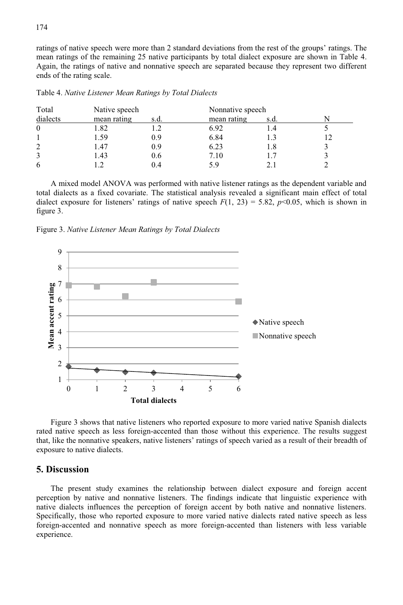ratings of native speech were more than 2 standard deviations from the rest of the groups' ratings. The mean ratings of the remaining 25 native participants by total dialect exposure are shown in Table 4. Again, the ratings of native and nonnative speech are separated because they represent two different ends of the rating scale.

| Total          | Native speech |      | Nonnative speech |      |  |
|----------------|---------------|------|------------------|------|--|
| dialects       | mean rating   | s.d. | mean rating      | s.d. |  |
| $\theta$       | 1.82          |      | 6.92             |      |  |
|                | 1.59          | 0.9  | 6.84             |      |  |
| $\overline{2}$ | 1.47          | 0.9  | 6.23             | . 8  |  |
| 3              | 1.43          | 0.6  | 7.10             |      |  |
| 6              |               | 0.4  | 5 Y              |      |  |

Table 4. *Native Listener Mean Ratings by Total Dialects*

A mixed model ANOVA was performed with native listener ratings as the dependent variable and total dialects as a fixed covariate. The statistical analysis revealed a significant main effect of total dialect exposure for listeners' ratings of native speech  $F(1, 23) = 5.82$ ,  $p<0.05$ , which is shown in figure 3.

Figure 3. *Native Listener Mean Ratings by Total Dialects*



Figure 3 shows that native listeners who reported exposure to more varied native Spanish dialects rated native speech as less foreign-accented than those without this experience. The results suggest that, like the nonnative speakers, native listeners' ratings of speech varied as a result of their breadth of exposure to native dialects.

### **5. Discussion**

The present study examines the relationship between dialect exposure and foreign accent perception by native and nonnative listeners. The findings indicate that linguistic experience with native dialects influences the perception of foreign accent by both native and nonnative listeners. Specifically, those who reported exposure to more varied native dialects rated native speech as less foreign-accented and nonnative speech as more foreign-accented than listeners with less variable experience.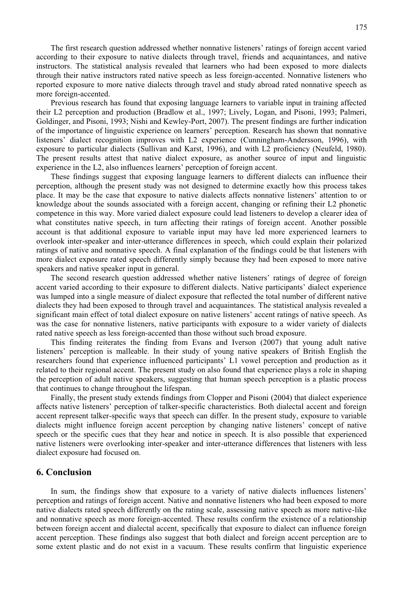The first research question addressed whether nonnative listeners' ratings of foreign accent varied according to their exposure to native dialects through travel, friends and acquaintances, and native instructors. The statistical analysis revealed that learners who had been exposed to more dialects through their native instructors rated native speech as less foreign-accented. Nonnative listeners who reported exposure to more native dialects through travel and study abroad rated nonnative speech as more foreign-accented.

Previous research has found that exposing language learners to variable input in training affected their L2 perception and production (Bradlow et al., 1997; Lively, Logan, and Pisoni, 1993; Palmeri, Goldinger, and Pisoni, 1993; Nishi and Kewley-Port, 2007). The present findings are further indication of the importance of linguistic experience on learners' perception. Research has shown that nonnative listeners' dialect recognition improves with L2 experience (Cunningham-Andersson, 1996), with exposure to particular dialects (Sullivan and Karst, 1996), and with L2 proficiency (Neufeld, 1980). The present results attest that native dialect exposure, as another source of input and linguistic experience in the L2, also influences learners' perception of foreign accent.

These findings suggest that exposing language learners to different dialects can influence their perception, although the present study was not designed to determine exactly how this process takes place. It may be the case that exposure to native dialects affects nonnative listeners' attention to or knowledge about the sounds associated with a foreign accent, changing or refining their L2 phonetic competence in this way. More varied dialect exposure could lead listeners to develop a clearer idea of what constitutes native speech, in turn affecting their ratings of foreign accent. Another possible account is that additional exposure to variable input may have led more experienced learners to overlook inter-speaker and inter-utterance differences in speech, which could explain their polarized ratings of native and nonnative speech. A final explanation of the findings could be that listeners with more dialect exposure rated speech differently simply because they had been exposed to more native speakers and native speaker input in general.

The second research question addressed whether native listeners' ratings of degree of foreign accent varied according to their exposure to different dialects. Native participants' dialect experience was lumped into a single measure of dialect exposure that reflected the total number of different native dialects they had been exposed to through travel and acquaintances. The statistical analysis revealed a significant main effect of total dialect exposure on native listeners' accent ratings of native speech. As was the case for nonnative listeners, native participants with exposure to a wider variety of dialects rated native speech as less foreign-accented than those without such broad exposure.

This finding reiterates the finding from Evans and Iverson (2007) that young adult native listeners' perception is malleable. In their study of young native speakers of British English the researchers found that experience influenced participants' L1 vowel perception and production as it related to their regional accent. The present study on also found that experience plays a role in shaping the perception of adult native speakers, suggesting that human speech perception is a plastic process that continues to change throughout the lifespan.

Finally, the present study extends findings from Clopper and Pisoni (2004) that dialect experience affects native listeners' perception of talker-specific characteristics. Both dialectal accent and foreign accent represent talker-specific ways that speech can differ. In the present study, exposure to variable dialects might influence foreign accent perception by changing native listeners' concept of native speech or the specific cues that they hear and notice in speech. It is also possible that experienced native listeners were overlooking inter-speaker and inter-utterance differences that listeners with less dialect exposure had focused on.

#### **6. Conclusion**

In sum, the findings show that exposure to a variety of native dialects influences listeners' perception and ratings of foreign accent. Native and nonnative listeners who had been exposed to more native dialects rated speech differently on the rating scale, assessing native speech as more native-like and nonnative speech as more foreign-accented. These results confirm the existence of a relationship between foreign accent and dialectal accent, specifically that exposure to dialect can influence foreign accent perception. These findings also suggest that both dialect and foreign accent perception are to some extent plastic and do not exist in a vacuum. These results confirm that linguistic experience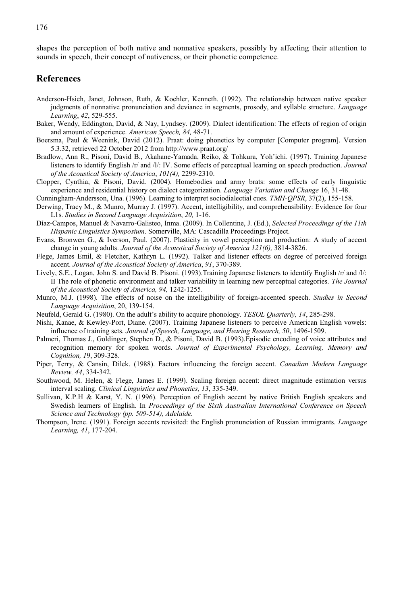shapes the perception of both native and nonnative speakers, possibly by affecting their attention to sounds in speech, their concept of nativeness, or their phonetic competence.

## **References**

- Anderson-Hsieh, Janet, Johnson, Ruth, & Koehler, Kenneth. (1992). The relationship between native speaker judgments of nonnative pronunciation and deviance in segments, prosody, and syllable structure. *Language Learning*, *42*, 529-555.
- Baker, Wendy, Eddington, David, & Nay, Lyndsey. (2009). Dialect identification: The effects of region of origin and amount of experience. *American Speech, 84,* 48-71.
- Boersma, Paul & Weenink, David (2012). Praat: doing phonetics by computer [Computer program]. Version 5.3.32, retrieved 22 October 2012 from http://www.praat.org/
- Bradlow, Ann R., Pisoni, David B., Akahane-Yamada, Reiko, & Tohkura, Yoh'ichi. (1997). Training Japanese listeners to identify English /r/ and /l/: IV. Some effects of perceptual learning on speech production. *Journal of the Acoustical Society of America*, *101(4),* 2299-2310.
- Clopper, Cynthia, & Pisoni, David. (2004). Homebodies and army brats: some effects of early linguistic experience and residential history on dialect categorization. *Language Variation and Change* 16, 31-48.
- Cunningham-Andersson, Una. (1996). Learning to interpret sociodialectial cues. *TMH-QPSR*, 37(2), 155-158.
- Derwing, Tracy M., & Munro, Murray J. (1997). Accent, intelligibility, and comprehensibility: Evidence for four L1s. *Studies in Second Language Acquisition*, *20,* 1-16.
- Díaz-Campos, Manuel & Navarro-Galisteo, Inma. (2009). In Collentine, J. (Ed.), *Selected Proceedings of the 11th Hispanic Linguistics Symposium*. Somerville, MA: Cascadilla Proceedings Project.
- Evans, Bronwen G., & Iverson, Paul. (2007). Plasticity in vowel perception and production: A study of accent change in young adults. *Journal of the Acoustical Society of America 121(6),* 3814-3826.
- Flege, James Emil, & Fletcher, Kathryn L. (1992). Talker and listener effects on degree of perceived foreign accent. *Journal of the Acoustical Society of America*, *91*, 370-389.
- Lively, S.E., Logan, John S. and David B. Pisoni. (1993). Training Japanese listeners to identify English /r/ and /l/: II The role of phonetic environment and talker variability in learning new perceptual categories. *The Journal of the Acoustical Society of America, 94,* 1242-1255.
- Munro, M.J. (1998). The effects of noise on the intelligibility of foreign-accented speech. *Studies in Second Language Acquisition*, 20, 139-154.
- Neufeld, Gerald G. (1980). On the adult's ability to acquire phonology. *TESOL Quarterly, 14*, 285-298.
- Nishi, Kanae, & Kewley-Port, Diane. (2007). Training Japanese listeners to perceive American English vowels: influence of training sets. *Journal of Speech, Language, and Hearing Research, 50*, 1496-1509.
- Palmeri, Thomas J., Goldinger, Stephen D., & Pisoni, David B. (1993).Episodic encoding of voice attributes and recognition memory for spoken words. *Journal of Experimental Psychology, Learning, Memory and Cognition, 1*9, 309-328.
- Piper, Terry, & Cansin, Dilek. (1988). Factors influencing the foreign accent. *Canadian Modern Language Review, 44*, 334-342.
- Southwood, M. Helen, & Flege, James E. (1999). Scaling foreign accent: direct magnitude estimation versus interval scaling. *Clinical Linguistics and Phonetics, 13*, 335-349.
- Sullivan, K.P.H & Karst, Y. N. (1996). Perception of English accent by native British English speakers and Swedish learners of English. In *Proceedings of the Sixth Australian International Conference on Speech Science and Technology (pp. 509-514), Adelaide.*
- Thompson, Irene. (1991). Foreign accents revisited: the English pronunciation of Russian immigrants. *Language Learning, 41*, 177-204.